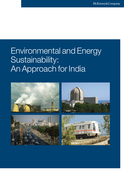# Environmental and Energy Sustainability: An Approach for India

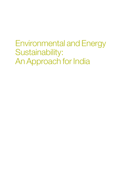Environmental and Energy Sustainability: An Approach for India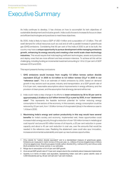# Executive Summary

As India continues to develop, it has choices on how to accomplish its twin objectives of sustainable development and inclusive growth. India could choose to increase its focus on clean and efficient technologies and practices to meet these objectives.

By 2030, India is likely to have a GDP of USD 4 trillion and a population of 1.5 billion. This will swell demand for critical resources such as coal and oil with a parallel increase in greenhouse gas (GHG) emissions. Considering that 80 per cent of the India of 2030 is yet to be built, the country may have a unique opportunity to pursue development while managing emissions growth, enhancing its energy security and creating a few world scale clean-technology industries. This would require that India leapfrog inefficient technologies, assets and practices and deploy ones that are more efficient and less emission-intensive. To achieve all this will be challenging, including funding an incremental investment amounting to 1.8 to 2.3 per cent of GDP between 2010 and 2030.

This report presents five key conclusions:

- 1. GHG emissions would increase from roughly 1.6 billion tonnes carbon dioxide equivalent (CO<sub>2</sub>e)<sup>1</sup> in 2005 to 5.0 billion to 6.5 billion tonnes CO<sub>2</sub>e<sup>2</sup> in 2030 in our "reference case". This is an estimate of India's emissions by 2030, based on demand growth in key sectors such as power, industry and transportation, at a GDP growth rate of 6 to 9 per cent, reasonable assumptions about improvements in energy efficiency and the provision of clean power, and the assumption that all energy demand will be met.
- 2. India could make a step-change in its efforts to lower emissions by 30 to 50 per cent to approximately 2.8 billion to 3.6 $^{\rm 3}$  billion tonnes CO $_{\rm 2}$ e a year by 2030, in our "abatement case". This represents the feasible technical potential for further reducing energy consumption in five sectors of the economy. In this scenario, energy consumption could be reduced by 22 per cent, from 1.8 billion tonnes of oil equivalent (btoe) in the reference case to 1.4 btoe in 2030.
- 3. Maximising India's energy and carbon productivity in this way would have several benefits for India's society and economy. Implemented well, these opportunities could increase India's energy security through a reduction of over 100 million tonnes in metallurgical coal imports<sup>4</sup> and around 60 million tonnes of oil imports, a 20 per cent reduction in power capacity and about a 45 per cent reduction in coal use, over the amounts that would be needed in the reference case. Realising the abatement case could also spur innovation, increase environmental sustainability and open up new business opportunities.

<sup>1</sup> CO<sub>2</sub>e stands for "carbon dioxide equivalent" and is a standardised measure of greenhouse gases. Emissions are measured in metric tonnes of CO<sub>2</sub>e per year, i.e., millions of tonnes (megatonnes) or billions of tonnes (gigatonnes). Greenhouse gases include carbon dioxide (CO<sub>2</sub>), methane (CH<sub>4</sub>) and nitrous oxide  $(N_{2}O)$  emissions from human activity, in our estimates.

<sup>2</sup> Range due to assumption of 6 to 9 per cent GDP growth.

<sup>3</sup> At an annual GDP growth rate of 7.5 per cent; range is due to the uncertainty about measures implemented.

Quantity is in terms of Indian coal equivalent, representing Indian coal with a gross calorific value of 4,500 kilocalories per kg, 30 per cent ash and 7 per cent moisture.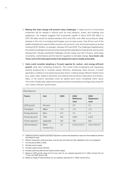- 4. Making this step-change will present many challenges. A large amount of incremental investment will be needed in sectors such as road transport, power, and buildings and appliances. Our analysis suggests that incremental capital<sup>5</sup> of about EUR 600 billion to EUR 750 billion would be needed between 2010 and 2030, even after accounting for steep declines in the cost of emerging technologies such as solar power. Over 60 per cent of the additional abatement opportunities impose a net economic cost, and would require an annual funding of EUR 18 billion, on average<sup>6</sup>, between 2010 and 2030. The challenge is heightened by the need to fund abatement actions while meeting India's aspirations of high growth and inclusive development. Equally substantial challenges include supply and skill concerns, technology uncertainty, market failures and the need for regulation to stimulate change. As a result, only 10 per cent of the total opportunity in the abatement case is readily achievable.
- 5. India could consider adopting a 10-point agenda for carbon- and energy-efficient growth while also containing emissions. This would entail accelerating and expanding existing programmes to increase energy efficiency, developing clean sources of power generation, building a more responsive power sector, creating energy-efficient infrastructure (e.g., green cities, logistics networks), and making improvements in agriculture and forestry. Many of the actions described could be started (and some completed) within about 18 months. Additionally, state and local governments could develop and begin executing their own "carbon-efficient" growth plans.

| <b>Key figures</b>           |                                            |         |                                  |                         |
|------------------------------|--------------------------------------------|---------|----------------------------------|-------------------------|
| Factor                       | <b>Unit</b>                                | 2005    | 2030<br>Reference                | 2030<br>Abatement       |
|                              |                                            |         | case                             | case                    |
| GDP growth                   | Per cent                                   |         | $7.5^{7}$                        | 7.5                     |
| Population                   | <b>Billion</b>                             | 1.10    | 1.47                             | 1.47                    |
| Energy demand                | <b>Btoe</b>                                | $0.5^8$ | 1.8                              | 1.4                     |
| Power demand <sup>9</sup>    | <b>TWh</b>                                 | 700     | 3,870                            | 2,910                   |
| Power capacity <sup>10</sup> | Gigawatts                                  | 150     | 760                              | 640                     |
| <b>GHG</b> emissions         | <b>Billion</b><br>tonnes CO <sub>2</sub> e | 1.6     | $5.0$ to 6.5 (5.7) <sup>11</sup> | 2.8 to 3.6 $(3.1)^{12}$ |

5 Additional upfront capital expenditure required to achieve the abatement case over that needed to achieve the reference case.

- 6 Without transaction costs and taxes, and at 8 per cent discount rate; adaptation cost not considered.
- 7 For the period 2005 to 2030.
- 8 Denotes actual supply.
- 9 Includes captive power demand.
- 10 Includes spinning reserves and captive power supply.
- 11 Based on GDP growth range of 6 to 9 per cent; for our analysis assumed at 5.7 billion tonnes CO<sub>2</sub>e at 7.5 per cent GDP growth rate.
- 12 Based on range of improvements; for our analysis, assumed at 3.1 billion tonnes  $CO<sub>2</sub>e$ .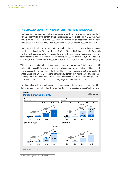# the challenge of rising emissions: the reference case

India's economy has been growing fast and must continue doing so to ensure inclusive growth. At a likely GDP growth rate of 7.5 per cent a year, real per capita GDP is expected to reach USD 2,700 by 2030, a five-fold increase over the 2005 level. This growth will be accompanied by increased urbanisation, with well over half a billion people living in India's cities two decades from now.

Economic growth will drive up demand in all sectors. Demand for power is likely to increase more than five-fold, from 700 terawatt hours (TWh) in 2005 to 3,870 TWh<sup>13</sup> by 2030. Demand for building stock and infrastructure is expected to grow at the same rate, increasing annual demand for cement to 860 million tonnes and for steel to around 300 million tonnes by 2030. The vehicle fleet is likely to grow seven-fold to about 380 million vehicles, including two-wheelers (Exhibit 1).

With this growth, India's total energy demand is likely to reach around 1.8 btoe a year in 2030, up from 0.5 btoe in 2005, even after assuming efficiency improvements that could occur in the normal course. This would make India the third largest energy consumer in the world, after the United States and China. Meeting this demand would mean that India's share of world energy consumption would nearly double, and thus India would have to find and secure energy resources much faster than other countries. That itself is going to be a challenge for India.

This demand growth will greatly increase energy requirements. India's coal demand by 2030 is likely to be 60 per cent higher than the projected domestic production of about 1.5 billion tonnes



13 Including captive power demand.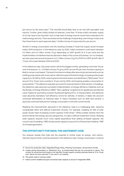per annum by the same year.<sup>14</sup> This shortfall would likely have to be met with equivalent coal imports. Further, given India's limited oil reserves, more than 10 times India's domestic supply of oil may have to be imported. Such a high level of energy imports would have implications for India's energy security. There would also be the challenge of expanding coal mining in India more than three times to reach approximately 1.5 billion tonnes of coal production per annum.

Growth in energy consumption and the resulting increase in fossil-fuel supply would increase India's GHG emissions. In the reference case, by 2030, India's emissions could reach between 5.0 billion and 6.5 billion tonnes CO<sub>2</sub>e depending on GDP growth (6 to 9 per cent) and the implementation of initiatives that are planned or likely in the course of business. For our analysis, we have assumed annual emissions of 5.7 billion tonnes CO<sub>2</sub>e by 2030 at a GDP growth rate of 7.5 per cent a year between 2005 and 2030.

In the reference case, the power sector will be the biggest emitter, generating more than 50 per cent of emissions, i.e., 2.9 billion tonnes CO<sub>2</sub>e by 2030, as over 60 per cent of power capacity is likely to remain coal-based. This level of emissions is likely after assuming improvements such as building power plants with more carbon-efficient supercritical technology, increasing solar power capacity to 30 GW by 2030, reducing technical transmission and distribution (T&D) losses15 from around 15 to 19 per cent currently to 12 per cent by 2030, and lowering auxiliary consumption in power plants.16 The reference case also accounts for improvements in other sectors. In buildings, the reference case assumes successful implementation of energy-efficiency initiatives such as the Bureau of Energy Efficiency's (BEE) "Star Labelling" programme for appliances and Bachat Lamp Yojana for promoting compact fluorescent lighting (CFL). In transportation, the reference case assumes mandatory fuel-efficiency norms for vehicles. In forestry, it takes into account continued afforestation at historical rates. In heavy industries such as steel and cement, it assumes continued reductions in energy consumption in line with current trends.

Realising the improvements assumed in the reference case is a challenging task, requiring considerable effort and difficult investment choices. For example, installing 20 GW of solar power would mean increasing current capacity 4,000 times.17 While a better solution from the environmental and energy security perspective, it is also a difficult investment choice. Building solar capacity requires much more capital expenditure than adding oil-based capacity: the current cost of installing 1 MW of solar power capacity is around 5 to 8 times that of adding 1 MW of oil-based generation.

#### THE Opportunity for india: the abatement case

Our analysis reveals that India has the potential to further lower its energy- and carbonintensity beyond what could be achieved in the reference case. Energy consumption could be

<sup>14</sup> Source for production data: Integrated Energy Policy, Planning Commission, Government of India.

<sup>15</sup> Losses during transmission or distribution (e.g., at transformers) that are not commercial in nature. The number for actual technical losses is not reported, though experts currently estimate these at 15 to 19 per cent. Hence we have assumed 17 per cent in our analysis.

<sup>16</sup> The power used in running a plant.

<sup>17</sup> India's current installed and grid-connected solar capacity is around 5 megawatts (MW).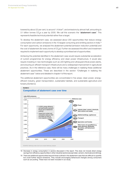lowered by about 22 per cent, to around 1.4 btoe<sup>18</sup>, and emissions by almost half, amounting to 3.1 billion tonnes  $CO<sub>e</sub>$ e a year by 2030. We call this scenario the "abatement case". This represents feasible technical potential rather than a target.

To develop the abatement case, we assessed about 200 opportunities that reduce energy consumption and carbon emissions in the 10 largest consuming and emitting sectors in India.19 For each opportunity, we analysed the abatement potential (emission reduction potential) and the cost of abatement (for every tonne of CO<sub>2</sub>e). Further we assessed the effort and investment required to implement each opportunity to develop a prioritised set of opportunities.

Achieving the potential identified in the abatement case would require substantial acceleration of current programmes for energy efficiency and clean power infrastructure. It would also require investing in new technologies such as LED lighting and ultrasupercritical power plants, and ensuring an efficient transport infrastructure and a widespread improvement in agricultural practices. As in the reference case, there will be many challenges in realising these additional abatement opportunities. These are described in the section "Challenges in realising the abatement case" below and detailed in chapter 4 of this report.

The additional abatement opportunities are concentrated in five areas: clean power, energyefficient industry, green transportation, sustainable habitats, and sustainable agriculture and forestry (Exhibit 2).



#### **Composition of abatement case over time Exhibit 2**

18 Decrease in energy consumption in sectors discussed in this report. This does not include direct energy savings from efficiency opportunities in other industrial sectors (except steel, cement, chemicals and refining).

19 There are additional opportunities beyond those outlined in the abatement case that are difficult to quantify but could further reduce emissions. They include encouraging behavioural changes among consumers such as car pooling. These have not been included in our study.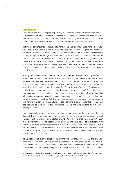#### Clean power

Clean power provides the biggest opportunity to reduce emissions beyond the reference case and lower India's reliance on coal for meeting its power needs. In the reference case, emissions from this sector would reach 2.9 billion tonnes in 2030. They could be reduced to 1.9 billion tonnes CO<sub>2</sub>e by 2030 through three main actions described in the abatement case:

Optimising power demand: Reducing demand, including changing peak demand e.g., by using water heaters that operate during the night and store water for use during the day, would have the maximum impact. On the consumption side, power demand could be reduced in buildings, industry and agriculture through energy-efficiency initiatives. In addition, power demand could be lowered in the power sector itself by reducing auxiliary consumption and lowering technical T&D losses. The demand profile could be made flatter through measures such as time-of-day tariffs, which would reduce the need for oil- and gas-based peaking power plants. This could forestall 120 GW of capacity addition, equivalent to about 20 per cent of the 2030 capacity estimated in the reference case.

Making power generation "cleaner" and better matched to demand: Today, 80 per cent of the power capacity under construction is coal-based. Further, the reference case assumes 60 per cent of coal-based generation capacity in 2030. Besides being a major driver of growth in emissions, a coal-dominated power mix—good for running plants at constant loads—would not be the best fit with India's power demand profile. Generally, only 60 per cent of total capacity is required to meet base load demand (needed throughout the day and year). The rest represents non-base or peak demand and is usually required during parts of the day such as evening, when lights and appliances are used simultaneously, or some seasons such as summer when more power is needed for cooling. With the continued dominance of services in India's economy, and increasing urbanisation and affluence, peak demand is likely to grow faster than baseload demand, as more air-conditioned buildings come up and more households own and use more appliances.

Three major shifts would be required to attain a cleaner power mix that is better matched to demand. The first would be aggressively expanding nuclear energy as a substitute for coalbased power from an expected level of 30 GW in 2030, in the reference case, to 60 GW in 2030 in the abatement case. The second would be increasing solar power as a replacement for peaking oil and gas from an expected level of 30 GW in 2030 in the reference case to 56 GW in the abatement case. The third shift would be to use a higher proportion of reservoir hydro power to serve peaking demand, i.e., 55 per cent (25 GW) in the abatement case instead of 20 per cent (5 GW) in the reference case.

Using cleaner coal technologies: Increasing the efficiency of subcritical coal plants and using more efficient coal technologies such as supercritical<sup>20</sup> and ultrasupercritical could increase the efficiency of coal-based power generation and thus reduce emissions. Our analysis does not include estimates of the potential impact of implementing IGCC or CCS<sup>21</sup>, primarily because of

20 For our analysis, we have assumed that all supercritical capacity will come online in the reference case.

<sup>21</sup> IGCC: Integrated Gasification Combined Cycle; CCS: Carbon Capture and Storage.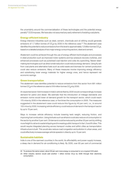the uncertainty around the commercialisation of these technologies and the potential energy penalty<sup>22</sup> CCS imposes. We have also not assumed any early retirement of existing coal plants.

#### Energy-efficient industry

Energy-intensive industries such as steel, cement, chemicals and oil refining would generate emissions of 1.7 billion tonnes of  $CO<sub>2</sub>e$  by 2030 in the reference case.<sup>23</sup> The abatement case identifies the potential to reduce emissions from this level to approximately 1.0 billion tonnes  $CO<sub>2</sub>e$ , based on a detailed analysis of two major energy consuming sectors, steel and cement.

Abatement could be achieved through the use of energy-efficient technologies and processes in steel production such as improved motor systems and top-pressure recovery turbines, and enhanced processes such as pulverised coal injection and coke dry quenching. Newer steelmaking technologies such as direct smelt reduction could reduce energy demand. Using fly ash from coal plants and alternative fuels such as solid waste and biomass for cement production could also reduce emissions. Many of these measures involve improving energy efficiency and substituting lower energy materials for higher energy ones, and hence represent net economic savings.

#### Green transportation

The abatement case identifies potential to reduce emissions from this sector from 681 million tonnes CO<sub>2</sub>e in the reference case to 519 million tonnes CO<sub>2</sub>e by 2030.

An expected seven-fold increase in India's vehicle fleet by 2030 would correspondingly increase demand for petrol and diesel. We estimate that the introduction of mileage standards and emission norms would lower oil demand growth for the transport sector, which could reach 170 mtoe by 2030 in the reference case, or five times the consumption in 2005. The measures suggested in the abatement case could reduce this figure by 40 per cent, i.e., to around 105 mtoe by 2030. Increasing vehicle efficiency could reduce oil demand in the transport sector by up to 15 per cent.

Ways to increase vehicle efficiency include lowering kerb weight, reducing friction, and improving fuel combustion. Using biofuels such as ethanol could also reduce oil consumption in the sector by another 5 per cent. Oil demand could be reduced by another 20 per cent by shifting more freight to rail and coastal shipping and increasing public transport in tier I, II and III cities. This would require integrated planning across transport modes and within cities as transportation infrastructure is built. This would also reduce road congestion and pollution in urban areas, and could effectively increase average vehicle speeds in cities by up to 15 per cent.

#### Sustainable habitats

India is one of the warmest countries in the world. As affordability and power supply increase, a steep rise in demand for air-conditioning is likely. By 2030, over 60 per cent of commercial

<sup>22</sup> To produce the same output, about 30 per cent more energy is consumed to run a typical CCS plant.

<sup>23</sup> Other industry sectors would add another 1 billion tonnes CO<sub>2</sub>e by 2030 through their electricity consumption.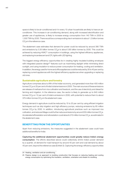xvi

space is likely to be air-conditioned and 4 in every 10 urban households are likely to have an airconditioner. This increase in air-conditioning demand, along with increased electrification and greater use of appliances, is likely to increase energy consumption from 140 TWh in 2005 to 1,300 TWh by 2030. There would be a corresponding rise in emissions to about 1.2 billion tonnes  $\mathrm{CO}_2$ e in the reference case.

The abatement case estimates that demand for power could be reduced by around 390 TWh and emissions by 0.35 billion tonnes CO<sub>2</sub>e to about 0.85 billion tonnes by 2030. This could be achieved by reducing HVAC<sup>24</sup> consumption in buildings, using the highest efficiency appliances, and replacing incandescent and CFL lights with LED lighting.

The biggest energy-efficiency opportunities lie in creating highly insulated building envelopes with integrated passive design<sup>25</sup> features such as maximising daylight while minimising direct sunlight, and using insulation to reduce power consumption for heating, cooling and ventilation. In addition, the energy used for home and office appliances could be reduced by 35 to 40 per cent by replacing current appliances with the highest efficiency appliances when upgrading or replacing old ones.

#### Sustainable agriculture and forestry

Agriculture comprises about a fifth of the Indian economy, and generated more than 400 million tonnes CO $_2$ e or 25 per cent of India's total emissions in 2005. The main sources of these emissions are release of methane from rice cultivation and livestock, and the use of electricity and diesel for farming and irrigation. In the reference case, the sector is likely to generate up to 640 million tonnes CO<sub>2</sub>e or 12 per cent of India's emissions in 2030, with potential to reduce them to about 375 million tonnes CO $_2$ e in the abatement case.

Energy demand in agriculture could be reduced by 15 to 20 per cent by using efficient irrigation techniques such as drip irrigation and high efficiency pumps, reducing emissions by 65 million tonnes CO<sub>2</sub>e by 2030. In addition, introducing agricultural practices such as improved rice cultivation, and reduced tillage could further reduce emissions by around 200 million tonnes CO<sub>2</sub>e. Accelerated afforestation and reforestation could absorb 210 million tonnes CO<sub>2</sub>e, as estimated in the abatement case.

# benefiTting from the opportunities

Apart from reducing emissions, the measures suggested in the abatement case could have additional benefits for India:

Capturing the additional abatement opportunities could greatly reduce India's energy consumption. The efforts described above could collectively shrink India's power demand by a quarter, oil demand for road transport by around 40 per cent and coal demand by about 45 per cent, beyond the reference case (Exhibit 3). Capturing the energy-efficiency opportunities

<sup>24</sup> Heating, ventilation and air-conditioning.

<sup>25</sup> Passive design is an approach to building construction that focuses on reducing heating and cooling energy consumption by optimising the insulation, ventilation, orientation and shade of a building.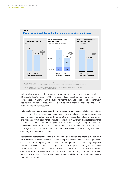

### **Power, oil and coal demand in the reference and abatement cases Exhibit 3**

outlined above could avert the addition of around 120 GW of power capacity, which is 80 per cent of India's capacity in 2005. This could reduce the cost and land requirements of future power projects. In addition, analysis suggests that the lower use of coal for power generation, steelmaking and cement production could reduce coal demand by nearly half and thereby roughly double the life of reserves.

India could increase energy security while reducing emissions. Solutions for reducing emissions would also increase India's energy security, e.g., a reduction in oil consumption would reduce emissions as well as imports. The combination of reduced demand and a move towards renewable energy would substantially reduce oil consumption. Our analysis indicates the potential for a 40 per cent reduction in oil consumption by road transport, equally reducing India's oil imports and lowering the import bill by around USD 35 billion (at USD 60 a barrel), in 2030. The use of metallurgical coal could also be reduced by about 100 million tonnes. Additionally, less thermal coal and gas would need to be imported.

Realising the abatement case could increase energy inclusion and improve the quality of life. Rural India could see many benefits. For example, distributed biomass-based generation, solar power or mini-hydel generation could provide quicker access to energy. Improved agricultural practices could reduce energy and water consumption, increasing access to these resources. Health and productivity could improve due to the introduction of safer, more efficient cooking stoves and reduced overall pollution. In urban India, the quality of life could improve as a result of better transport infrastructure, greater power availability, reduced road congestion and lower vehicular pollution.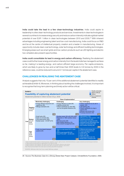India could take the lead in a few clean-technology industries. India could aspire to leadership in a few clean-technology products and services. Investments in clean technologies in several countries to increase energy security and reduce carbon intensity indicate a global market potential of over EUR 1 trillion in clean technologies between 2010 and 2030.<sup>26</sup> With inherent advantages including engineering talent and low-cost manufacturing, India could focus on R&D and be at the centre of intellectual property creation and a leader in manufacturing. Areas of opportunity include clean coal technology, solar technology and efficient building technologies. Emerging areas such as smart grids and low-carbon products such as LED lighting and electric two-wheelers also present opportunities.

India could consolidate its lead in energy and carbon efficiency. Realising the abatement case could further lower energy and carbon intensity from the levels India has managed to achieve so far, making it a leading energy- and carbon-efficient large economy. Per capita emissions, which are likely to grow by two-and-a-half times their 2005 levels to 3.9 tonnes by 2030 in the reference case, could be reduced to around 2.1 tonnes per capita in the abatement case.

# challenges in REALISING the abatement case

Analysis suggests that only 10 per cent of the additional abatement potential identified is readily achievable (Exhibit 4). Moreover, in thinking about tackling the challenges involved, it is important to recognise that long-term planning and timely action will be critical.



26 Source: The Business Case for a Strong Global Deal, Project Catalyst, ClimateWorks Foundation, 2009.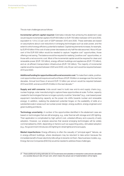xix

The six main challenges are as follows:

Incremental upfront capital required: Estimates indicate that achieving the abatement case would require incremental capital of EUR 600 billion to EUR 750 billion between 2010 and 2030, equivalent to 1.8 to 2.3 per cent of GDP between 2010 and 2030. These estimates are based on assumptions about cost reductions in emerging technologies such as solar power, and the extent to which energy efficiency potential is realised. Capital requirements increase, for example, by EUR 40 billion if the cost of solar power decreases at only half the rate assumed. About 40 per cent of the EUR 600 billion would be needed to capture "negative cost" opportunities, those offering a net saving. The balance would be required for realising "positive cost" opportunities, or those with a net economic cost. Most of the incremental capital would be required for clean and renewable power (EUR 135 billion), energy-efficient buildings and appliances (EUR 170 billion), and an oil-efficient transportation infrastructure (EUR 130 billion). The majority of incremental capital would be required between 2020 and 2030; only 30 per cent would be required between 2010 and 2020.

Additional funding for opportunities with a net economic cost: To make them viable, positivecost opportunities would require annual fund flows of EUR 18 billion on average over the next two decades. Annual fund flows of around EUR 13 billion per annum would be required between 2010 and 2020, and around EUR 23 billion in the next decade.<sup>27</sup>

Supply and skill concerns: India would need to build new end-to-end supply chains (e.g., nuclear forgings, solar manufacturing) to capture these opportunities at scale. Further, capacity created for technologies that are no longer a priority could be "stranded" (e.g., coal-based power equipment manufacturing capacity as the power mix shifts towards nuclear and renewable energy). In addition, realising the abatement potential hinges on the availability of skills at a substantial scale in areas such as nuclear power design, energy auditors, energy engineers and green building architects.

Technology uncertainty: A number of the opportunities identified in the abatement case are based on technologies that are still emerging, e.g., solar thermal with storage and LED lighting. Their application is complicated by high upfront cost, untested efficacy and a paucity of early adopters. However, our analysis assumes that several emerging technologies will be widely commercialised by 2020, depending on factors such as supporting policy, stimulated adoption (e.g., the government introduces LED lighting for street lights) and local supply.

Market imperfections: Energy efficiency is often the casualty of "principal-agent" failures, as in energy-efficient buildings, where developers may be reluctant to take action because the immediate benefit of lower electricity bills will go to tenants not them. New business models, e.g., Energy Service Companies (ESCOs) would be needed to address these challenges.

<sup>27</sup> These additional funding estimates do not include taxes and subsidies or transaction costs and are calculated at a societal discount rate of 8 per cent, which means the actual cost of implementation will be higher.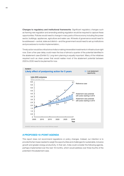Changes to regulatory and institutional frameworks: Significant regulatory changes such as framing new regulation and amending existing regulation would be required to capture these opportunities. Policies would need to change in many parts of the economy including the power sector, buildings, appliances, agriculture and water use. All levels of governance would need to be addressed—central, state and district—and the government would need to set up institutions and procedures to monitor implementation,.

Timely action would be critical since India is making irreversible investments in infrastructure right now. Even a five-year delay could mean the loss of almost a quarter of the potential identified in the abatement case (Exhibit 5). Long-term planning is equally important. Many of the initiatives required such as clean power that would realise most of the abatement potential between 2020 to 2030 need to be planned for now.



# A proposed 10-point agenda

This report does not recommend regulations or policy changes. Instead, our intention is to provide the fact-base needed to weigh the opportunities and challenges for sustainable, inclusive growth and greater energy productivity. In that vein, India could consider the following agenda, perhaps implemented over the next 18 months, which would address over three-fourths of the potential in the abatement case.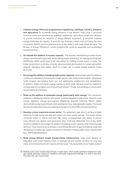- 1. Catalyse energy-efficiency programmes in appliances, buildings, industry, transport and agriculture: To accelerate energy efficiency in key sectors, India could 1) introduce technical norms and standards for buildings, appliances, agricultural pumps and vehicles; 2) provide incentives for adoption of energy-efficient equipment; 3) introduce tradable energy certificates for industry; 4) promote new business models such as Energy Services Companies (ESCO); and 5) implement time-of-day tariffs to shift peak power demand. The Bureau of Energy Efficiency's current programmes could be expanded and accelerated towards this end.
- 2. Accelerate the addition of nuclear capacity: This requires standardising nuclear reactor design, securing fuel supply early, and localising supply chains (e.g., for castings and forgings). Additionally, tariffs would need to be rationalised for building nuclear power to scale. The Indian government could also consider allowing private participation in nuclear generation projects. Managing time delays, which is a major risk in nuclear energy projects, would be crucial.
- 3. Encourage the addition of peaking hydro power capacity: Hydro power capacity additions could be accelerated by following the model used for ultra-mega power projects: developing hydro projects and bidding them out, and addressing resettlement and rehabilitation. In addition, stable and higher paying markets to serve peak demand would be needed to compensate for the higher cost of stored hydro power.28 Finally, typical delays in construction would need to be managed.
- 4. Scale up the addition of renewable energy (particularly solar energy): The momentum achieved in developing onshore wind power could be repeated in solar power. Support could include regulatory change (procurement obligations), financial incentives (feed-in tariffs), demonstration projects and infrastructure development (e.g., solar generation parks). This would also require exhaustive resource mapping and support for local R&D and manufacturing.
- 5. Develop a more responsive power sector: The abatement case aims to achieve a better matching of peak power demand and supply and more power savings. This would require continued action to reduce technical T&D losses complemented with efforts to ensure more efficient and cleaner coal generation. Also, multi-year differential time-of-day tariffs would be needed to encourage the addition of peaking power capacity while reducing peak demand. There has to be an emphasis on prioritising allocation of gas for peaking needs and developing innovative gas-based solutions for efficiently meeting peak power requirements (e.g., distributed generation).
- 6. Build energy-efficient freight transportation infrastructure: India could develop an integrated multi-modal logistics policy to leverage rail and coastal corridors for long-haul loads, which interconnect with roads for shorter hauls. This would shift a much higher share of

<sup>28</sup> Peaking hydro power requires large storage or higher dams, which entails significant resettlement costs. Also greater generation capacity is needed to serve peak requirements although it is used for less time. This raises the cost of such power.